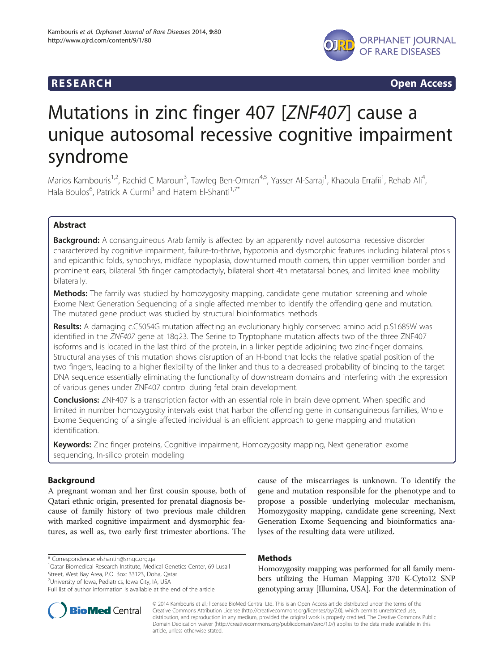

**RESEARCH CHINESEARCH CHINESEARCH CHINESE** 

# Mutations in zinc finger 407 [ZNF407] cause a unique autosomal recessive cognitive impairment syndrome

Marios Kambouris<sup>1,2</sup>, Rachid C Maroun<sup>3</sup>, Tawfeg Ben-Omran<sup>4,5</sup>, Yasser Al-Sarraj<sup>1</sup>, Khaoula Errafii<sup>1</sup>, Rehab Ali<sup>4</sup> , Hala Boulos<sup>6</sup>, Patrick A Curmi<sup>3</sup> and Hatem El-Shanti<sup>1,7\*</sup>

# Abstract

Background: A consanguineous Arab family is affected by an apparently novel autosomal recessive disorder characterized by cognitive impairment, failure-to-thrive, hypotonia and dysmorphic features including bilateral ptosis and epicanthic folds, synophrys, midface hypoplasia, downturned mouth corners, thin upper vermillion border and prominent ears, bilateral 5th finger camptodactyly, bilateral short 4th metatarsal bones, and limited knee mobility bilaterally.

Methods: The family was studied by homozygosity mapping, candidate gene mutation screening and whole Exome Next Generation Sequencing of a single affected member to identify the offending gene and mutation. The mutated gene product was studied by structural bioinformatics methods.

Results: A damaging c.C5054G mutation affecting an evolutionary highly conserved amino acid p.S1685W was identified in the ZNF407 gene at 18q23. The Serine to Tryptophane mutation affects two of the three ZNF407 isoforms and is located in the last third of the protein, in a linker peptide adjoining two zinc-finger domains. Structural analyses of this mutation shows disruption of an H-bond that locks the relative spatial position of the two fingers, leading to a higher flexibility of the linker and thus to a decreased probability of binding to the target DNA sequence essentially eliminating the functionality of downstream domains and interfering with the expression of various genes under ZNF407 control during fetal brain development.

**Conclusions:** ZNF407 is a transcription factor with an essential role in brain development. When specific and limited in number homozygosity intervals exist that harbor the offending gene in consanguineous families, Whole Exome Sequencing of a single affected individual is an efficient approach to gene mapping and mutation identification.

Keywords: Zinc finger proteins, Cognitive impairment, Homozygosity mapping, Next generation exome sequencing, In-silico protein modeling

# Background

A pregnant woman and her first cousin spouse, both of Qatari ethnic origin, presented for prenatal diagnosis because of family history of two previous male children with marked cognitive impairment and dysmorphic features, as well as, two early first trimester abortions. The

\* Correspondence: [elshantih@smgc.org.qa](mailto:elshantih@smgc.org.qa) <sup>1</sup>

<sup>7</sup>University of Iowa, Pediatrics, Iowa City, IA, USA

cause of the miscarriages is unknown. To identify the gene and mutation responsible for the phenotype and to propose a possible underlying molecular mechanism, Homozygosity mapping, candidate gene screening, Next Generation Exome Sequencing and bioinformatics analyses of the resulting data were utilized.

# Methods

Homozygosity mapping was performed for all family members utilizing the Human Mapping 370 K-Cyto12 SNP genotyping array [Illumina, USA]. For the determination of



<sup>&</sup>lt;sup>1</sup>Qatar Biomedical Research Institute, Medical Genetics Center, 69 Lusail Street, West Bay Area, P.O. Box: 33123, Doha, Qatar

Full list of author information is available at the end of the article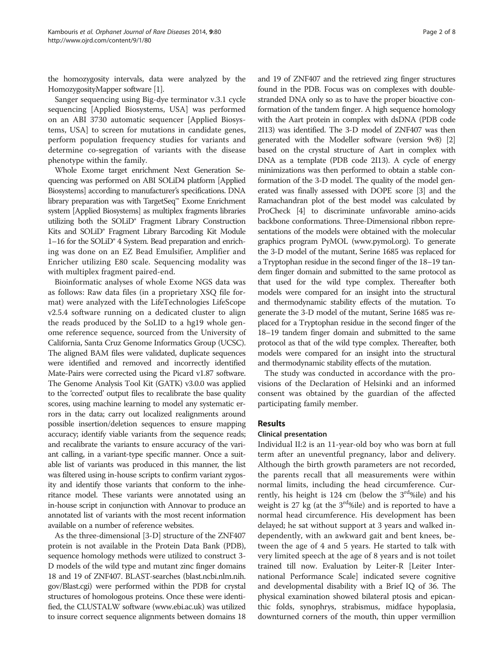the homozygosity intervals, data were analyzed by the HomozygosityMapper software [[1](#page-6-0)].

Sanger sequencing using Big-dye terminator v.3.1 cycle sequencing [Applied Biosystems, USA] was performed on an ABI 3730 automatic sequencer [Applied Biosystems, USA] to screen for mutations in candidate genes, perform population frequency studies for variants and determine co-segregation of variants with the disease phenotype within the family.

Whole Exome target enrichment Next Generation Sequencing was performed on ABI SOLiD4 platform [Applied Biosystems] according to manufacturer's specifications. DNA library preparation was with TargetSeq™ Exome Enrichment system [Applied Biosystems] as multiplex fragments libraries utilizing both the SOLiD® Fragment Library Construction Kits and SOLiD® Fragment Library Barcoding Kit Module 1–16 for the SOLiD® 4 System. Bead preparation and enriching was done on an EZ Bead Emulsifier, Amplifier and Enricher utilizing E80 scale. Sequencing modality was with multiplex fragment paired-end.

Bioinformatic analyses of whole Exome NGS data was as follows: Raw data files (in a proprietary XSQ file format) were analyzed with the LifeTechnologies LifeScope v2.5.4 software running on a dedicated cluster to align the reads produced by the SoLID to a hg19 whole genome reference sequence, sourced from the University of California, Santa Cruz Genome Informatics Group (UCSC). The aligned BAM files were validated, duplicate sequences were identified and removed and incorrectly identified Mate-Pairs were corrected using the Picard v1.87 software. The Genome Analysis Tool Kit (GATK) v3.0.0 was applied to the 'corrected' output files to recalibrate the base quality scores, using machine learning to model any systematic errors in the data; carry out localized realignments around possible insertion/deletion sequences to ensure mapping accuracy; identify viable variants from the sequence reads; and recalibrate the variants to ensure accuracy of the variant calling, in a variant-type specific manner. Once a suitable list of variants was produced in this manner, the list was filtered using in-house scripts to confirm variant zygosity and identify those variants that conform to the inheritance model. These variants were annotated using an in-house script in conjunction with Annovar to produce an annotated list of variants with the most recent information available on a number of reference websites.

As the three-dimensional [3-D] structure of the ZNF407 protein is not available in the Protein Data Bank (PDB), sequence homology methods were utilized to construct 3- D models of the wild type and mutant zinc finger domains 18 and 19 of ZNF407. BLAST-searches [\(blast.ncbi.nlm.nih.](blast.ncbi.nlm.nih.gov/Blast.cgi) [gov/Blast.cgi\)](blast.ncbi.nlm.nih.gov/Blast.cgi) were performed within the PDB for crystal structures of homologous proteins. Once these were identified, the CLUSTALW software [\(www.ebi.ac.uk\)](http://www.ebi.ac.uk) was utilized to insure correct sequence alignments between domains 18

and 19 of ZNF407 and the retrieved zing finger structures found in the PDB. Focus was on complexes with doublestranded DNA only so as to have the proper bioactive conformation of the tandem finger. A high sequence homology with the Aart protein in complex with dsDNA (PDB code 2I13) was identified. The 3-D model of ZNF407 was then generated with the Modeller software (version 9v8) [[2](#page-6-0)] based on the crystal structure of Aart in complex with DNA as a template (PDB code 2I13). A cycle of energy minimizations was then performed to obtain a stable conformation of the 3-D model. The quality of the model generated was finally assessed with DOPE score [\[3\]](#page-6-0) and the Ramachandran plot of the best model was calculated by ProCheck [\[4](#page-6-0)] to discriminate unfavorable amino-acids backbone conformations. Three-Dimensional ribbon representations of the models were obtained with the molecular graphics program PyMOL ([www.pymol.org](http://www.pymol.org)). To generate the 3-D model of the mutant, Serine 1685 was replaced for a Tryptophan residue in the second finger of the 18–19 tandem finger domain and submitted to the same protocol as that used for the wild type complex. Thereafter both models were compared for an insight into the structural and thermodynamic stability effects of the mutation. To generate the 3-D model of the mutant, Serine 1685 was replaced for a Tryptophan residue in the second finger of the 18–19 tandem finger domain and submitted to the same protocol as that of the wild type complex. Thereafter, both models were compared for an insight into the structural and thermodynamic stability effects of the mutation.

The study was conducted in accordance with the provisions of the Declaration of Helsinki and an informed consent was obtained by the guardian of the affected participating family member.

# Results

# Clinical presentation

Individual II:2 is an 11-year-old boy who was born at full term after an uneventful pregnancy, labor and delivery. Although the birth growth parameters are not recorded, the parents recall that all measurements were within normal limits, including the head circumference. Currently, his height is 124 cm (below the  $3<sup>rd</sup>$ %ile) and his weight is 27 kg (at the  $3<sup>rd</sup>$ %ile) and is reported to have a normal head circumference. His development has been delayed; he sat without support at 3 years and walked independently, with an awkward gait and bent knees, between the age of 4 and 5 years. He started to talk with very limited speech at the age of 8 years and is not toilet trained till now. Evaluation by Leiter-R [Leiter International Performance Scale] indicated severe cognitive and developmental disability with a Brief IQ of 36. The physical examination showed bilateral ptosis and epicanthic folds, synophrys, strabismus, midface hypoplasia, downturned corners of the mouth, thin upper vermillion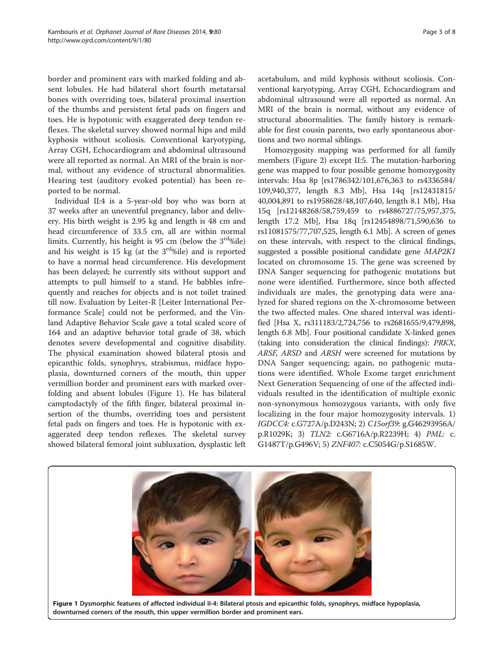border and prominent ears with marked folding and absent lobules. He had bilateral short fourth metatarsal bones with overriding toes, bilateral proximal insertion of the thumbs and persistent fetal pads on fingers and toes. He is hypotonic with exaggerated deep tendon reflexes. The skeletal survey showed normal hips and mild kyphosis without scoliosis. Conventional karyotyping, Array CGH, Echocardiogram and abdominal ultrasound were all reported as normal. An MRI of the brain is normal, without any evidence of structural abnormalities. Hearing test (auditory evoked potential) has been reported to be normal.

Individual II:4 is a 5-year-old boy who was born at 37 weeks after an uneventful pregnancy, labor and delivery. His birth weight is 2.95 kg and length is 48 cm and head circumference of 33.5 cm, all are within normal limits. Currently, his height is 95 cm (below the  $3<sup>rd</sup>$ %ile) and his weight is 15 kg (at the  $3<sup>rd</sup>$ %ile) and is reported to have a normal head circumference. His development has been delayed; he currently sits without support and attempts to pull himself to a stand. He babbles infrequently and reaches for objects and is not toilet trained till now. Evaluation by Leiter-R [Leiter International Performance Scale] could not be performed, and the Vinland Adaptive Behavior Scale gave a total scaled score of 164 and an adaptive behavior total grade of 38, which denotes severe developmental and cognitive disability. The physical examination showed bilateral ptosis and epicanthic folds, synophrys, strabismus, midface hypoplasia, downturned corners of the mouth, thin upper vermillion border and prominent ears with marked overfolding and absent lobules (Figure 1). He has bilateral camptodactyly of the fifth finger, bilateral proximal insertion of the thumbs, overriding toes and persistent fetal pads on fingers and toes. He is hypotonic with exaggerated deep tendon reflexes. The skeletal survey showed bilateral femoral joint subluxation, dysplastic left

acetabulum, and mild kyphosis without scoliosis. Conventional karyotyping, Array CGH, Echocardiogram and abdominal ultrasound were all reported as normal. An MRI of the brain is normal, without any evidence of structural abnormalities. The family history is remarkable for first cousin parents, two early spontaneous abortions and two normal siblings.

Homozygosity mapping was performed for all family members (Figure [2\)](#page-3-0) except II:5. The mutation-harboring gene was mapped to four possible genome homozygosity intervals: Hsa 8p [rs1786342/101,676,363 to rs4336584/ 109,940,377, length 8.3 Mb], Hsa 14q [rs12431815/ 40,004,891 to rs1958628/48,107,640, length 8.1 Mb], Hsa 15q [rs12148268/58,759,459 to rs4886727/75,957,375, length 17.2 Mb], Hsa 18q [rs12454898/71,590,636 to rs11081575/77,707,525, length 6.1 Mb]. A screen of genes on these intervals, with respect to the clinical findings, suggested a possible positional candidate gene MAP2K1 located on chromosome 15. The gene was screened by DNA Sanger sequencing for pathogenic mutations but none were identified. Furthermore, since both affected individuals are males, the genotyping data were analyzed for shared regions on the X-chromosome between the two affected males. One shared interval was identified [Hsa X, rs311183/2,724,756 to rs2681655/9,479,898, length 6.8 Mb]. Four positional candidate X-linked genes (taking into consideration the clinical findings): PRKX, ARSF, ARSD and ARSH were screened for mutations by DNA Sanger sequencing; again, no pathogenic mutations were identified. Whole Exome target enrichment Next Generation Sequencing of one of the affected individuals resulted in the identification of multiple exonic non-synonymous homozygous variants, with only five localizing in the four major homozygosity intervals. 1) IGDCC4: c.G727A/p.D243N; 2) C15orf39: g.G46293956A/ p.R1029K; 3) TLN2: c.G6716A/p.R2239H; 4) PML: c. G1487T/p.G496V; 5) ZNF407: c.C5054G/p.S1685W.

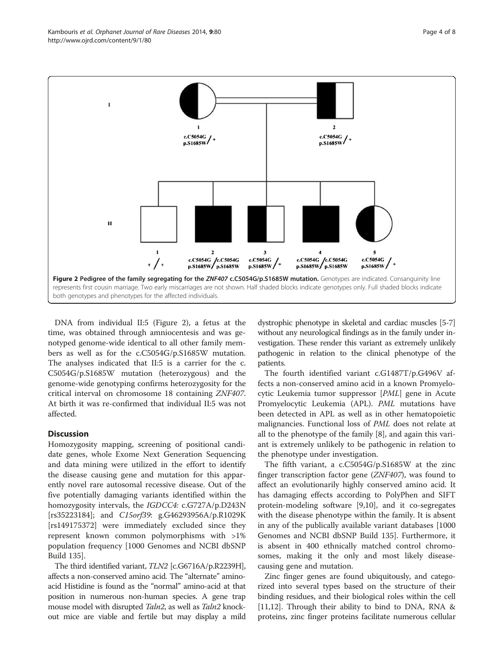DNA from individual II:5 (Figure 2), a fetus at the time, was obtained through amniocentesis and was genotyped genome-wide identical to all other family members as well as for the c.C5054G/p.S1685W mutation. The analyses indicated that II:5 is a carrier for the c. C5054G/p.S1685W mutation (heterozygous) and the genome-wide genotyping confirms heterozygosity for the critical interval on chromosome 18 containing ZNF407. At birth it was re-confirmed that individual II:5 was not affected.

### **Discussion**

Homozygosity mapping, screening of positional candidate genes, whole Exome Next Generation Sequencing and data mining were utilized in the effort to identify the disease causing gene and mutation for this apparently novel rare autosomal recessive disease. Out of the five potentially damaging variants identified within the homozygosity intervals, the IGDCC4: c.G727A/p.D243N [rs35223184]; and C15orf39: g.G46293956A/p.R1029K [rs149175372] were immediately excluded since they represent known common polymorphisms with >1% population frequency [1000 Genomes and NCBI dbSNP Build 135].

The third identified variant, TLN2 [c.G6716A/p.R2239H], affects a non-conserved amino acid. The "alternate" aminoacid Histidine is found as the "normal" amino-acid at that position in numerous non-human species. A gene trap mouse model with disrupted *Taln2*, as well as *Taln2* knockout mice are viable and fertile but may display a mild dystrophic phenotype in skeletal and cardiac muscles [[5](#page-6-0)-[7](#page-6-0)] without any neurological findings as in the family under investigation. These render this variant as extremely unlikely pathogenic in relation to the clinical phenotype of the patients.

The fourth identified variant c.G1487T/p.G496V affects a non-conserved amino acid in a known Promyelocytic Leukemia tumor suppressor [PML] gene in Acute Promyelocytic Leukemia (APL). PML mutations have been detected in APL as well as in other hematopoietic malignancies. Functional loss of PML does not relate at all to the phenotype of the family [[8\]](#page-6-0), and again this variant is extremely unlikely to be pathogenic in relation to the phenotype under investigation.

The fifth variant, a c.C5054G/p.S1685W at the zinc finger transcription factor gene (ZNF407), was found to affect an evolutionarily highly conserved amino acid. It has damaging effects according to PolyPhen and SIFT protein-modeling software [[9](#page-6-0),[10](#page-6-0)], and it co-segregates with the disease phenotype within the family. It is absent in any of the publically available variant databases [1000 Genomes and NCBI dbSNP Build 135]. Furthermore, it is absent in 400 ethnically matched control chromosomes, making it the only and most likely diseasecausing gene and mutation.

Zinc finger genes are found ubiquitously, and categorized into several types based on the structure of their binding residues, and their biological roles within the cell [[11](#page-6-0),[12](#page-6-0)]. Through their ability to bind to DNA, RNA & proteins, zinc finger proteins facilitate numerous cellular

<span id="page-3-0"></span>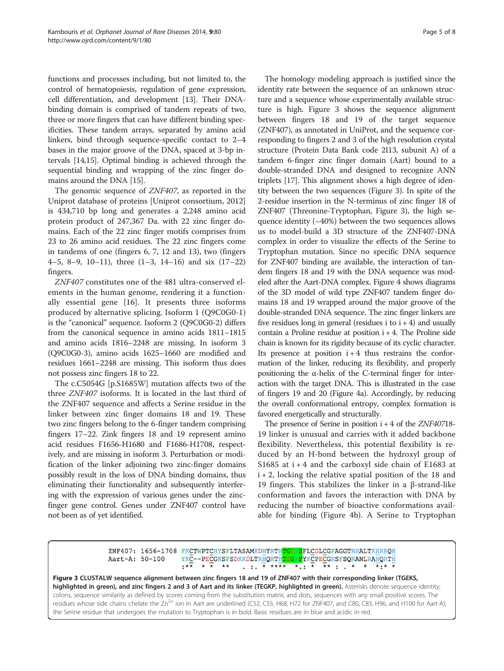functions and processes including, but not limited to, the control of hematopoiesis, regulation of gene expression, cell differentiation, and development [[13](#page-6-0)]. Their DNAbinding domain is comprised of tandem repeats of two, three or more fingers that can have different binding specificities. These tandem arrays, separated by amino acid linkers, bind through sequence-specific contact to 2–4 bases in the major groove of the DNA, spaced at 3-bp intervals [\[14,15](#page-6-0)]. Optimal binding is achieved through the sequential binding and wrapping of the zinc finger domains around the DNA [[15](#page-6-0)].

The genomic sequence of ZNF407, as reported in the Uniprot database of proteins [Uniprot consortium, 2012] is 434,710 bp long and generates a 2,248 amino acid protein product of 247,367 Da. with 22 zinc finger domains. Each of the 22 zinc finger motifs comprises from 23 to 26 amino acid residues. The 22 zinc fingers come in tandems of one (fingers 6, 7, 12 and 13), two (fingers 4–5, 8–9, 10–11), three (1–3, 14–16) and six (17–22) fingers.

ZNF407 constitutes one of the 481 ultra-conserved elements in the human genome, rendering it a functionally essential gene [\[16](#page-6-0)]. It presents three isoforms produced by alternative splicing. Isoform 1 (Q9C0G0-1) is the "canonical" sequence. Isoform 2 (Q9C0G0-2) differs from the canonical sequence in amino acids 1811–1815 and amino acids 1816–2248 are missing. In isoform 3 (Q9C0G0-3), amino acids 1625–1660 are modified and residues 1661–2248 are missing. This isoform thus does not possess zinc fingers 18 to 22.

The c.C5054G [p.S1685W] mutation affects two of the three ZNF407 isoforms. It is located in the last third of the ZNF407 sequence and affects a Serine residue in the linker between zinc finger domains 18 and 19. These two zinc fingers belong to the 6-finger tandem comprising fingers 17–22. Zink fingers 18 and 19 represent amino acid residues F1656-H1680 and F1686-H1708, respectively, and are missing in isoform 3. Perturbation or modification of the linker adjoining two zinc-finger domains possibly result in the loss of DNA binding domains, thus eliminating their functionality and subsequently interfering with the expression of various genes under the zincfinger gene control. Genes under ZNF407 control have not been as of yet identified.

The homology modeling approach is justified since the identity rate between the sequence of an unknown structure and a sequence whose experimentally available structure is high. Figure 3 shows the sequence alignment between fingers 18 and 19 of the target sequence (ZNF407), as annotated in UniProt, and the sequence corresponding to fingers 2 and 3 of the high resolution crystal structure (Protein Data Bank code 2I13, subunit A) of a tandem 6-finger zinc finger domain (Aart) bound to a double-stranded DNA and designed to recognize ANN triplets [[17\]](#page-6-0). This alignment shows a high degree of identity between the two sequences (Figure 3). In spite of the 2-residue insertion in the N-terminus of zinc finger 18 of ZNF407 (Threonine-Tryptophan, Figure 3), the high sequence identity  $(\sim 40\%)$  between the two sequences allows us to model-build a 3D structure of the ZNF407-DNA complex in order to visualize the effects of the Serine to Tryptophan mutation. Since no specific DNA sequence for ZNF407 binding are available, the interaction of tandem fingers 18 and 19 with the DNA sequence was modeled after the Aart-DNA complex. Figure [4](#page-5-0) shows diagrams of the 3D model of wild type ZNF407 tandem finger domains 18 and 19 wrapped around the major groove of the double-stranded DNA sequence. The zinc finger linkers are five residues long in general (residues  $i$  to  $i + 4$ ) and usually contain a Proline residue at position  $i + 4$ . The Proline side chain is known for its rigidity because of its cyclic character. Its presence at position  $i + 4$  thus restrains the conformation of the linker, reducing its flexibility, and properly positioning the α-helix of the C-terminal finger for interaction with the target DNA. This is illustrated in the case of fingers 19 and 20 (Figure [4a](#page-5-0)). Accordingly, by reducing the overall conformational entropy, complex formation is favored energetically and structurally.

The presence of Serine in position  $i + 4$  of the  $ZNF40718$ -19 linker is unusual and carries with it added backbone flexibility. Nevertheless, this potential flexibility is reduced by an H-bond between the hydroxyl group of S1685 at  $i + 4$  and the carboxyl side chain of E1683 at i + 2, locking the relative spatial position of the 18 and 19 fingers. This stabilizes the linker in a β-strand-like conformation and favors the interaction with DNA by reducing the number of bioactive conformations available for binding (Figure [4](#page-5-0)b). A Serine to Tryptophan

```
ZNF407: 1656-1708 FKCTWPTCHYSFLTASAMKDHYRTHTGELSFLCDLCGFAGGTRHALTKHRRQH
Aart-A: 50-100
                     YKC--PECGKSFSDKKDLTRHQRTHTEG PYKCPECGKSFSQRANLRAHQRTH
                     \cdot * *
                          \star \overline{\star} \star \star. . . * **** *. : * ** . . * * * . * *
```
Figure 3 CLUSTALW sequence alignment between zinc fingers 18 and 19 of ZNF407 with their corresponding linker (TGEKS, highlighted in green), and zinc fingers 2 and 3 of Aart and its linker (TEGKP, highlighted in green). Asterisks denote sequence identity; colons, sequence similarity as defined by scores coming from the substitution matrix; and dots, sequences with any small positive scores. The residues whose side chains chelate the Zn<sup>2+</sup> ion in Aart are underlined (C52, C55, H68, H72 for ZNF407, and C80, C83, H96, and H100 for Aart-A); the Serine residue that undergoes the mutation to Tryptophan is in bold. Basic residues are in blue and acidic in red.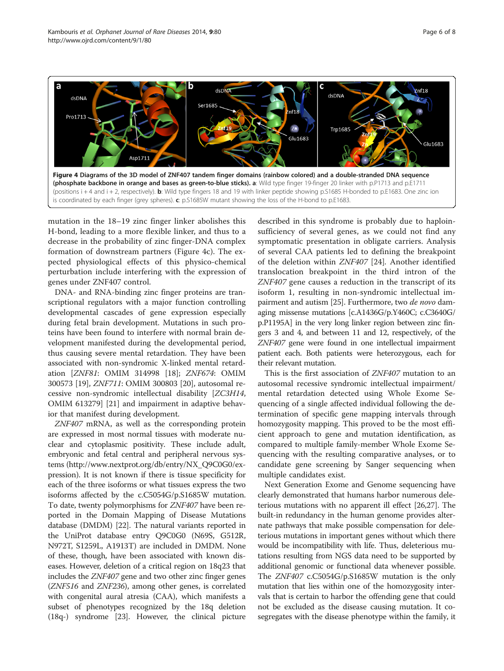<span id="page-5-0"></span>

mutation in the 18–19 zinc finger linker abolishes this H-bond, leading to a more flexible linker, and thus to a decrease in the probability of zinc finger-DNA complex formation of downstream partners (Figure 4c). The expected physiological effects of this physico-chemical perturbation include interfering with the expression of genes under ZNF407 control.

DNA- and RNA-binding zinc finger proteins are transcriptional regulators with a major function controlling developmental cascades of gene expression especially during fetal brain development. Mutations in such proteins have been found to interfere with normal brain development manifested during the developmental period, thus causing severe mental retardation. They have been associated with non-syndromic X-linked mental retardation [ZNF81: OMIM 314998 [\[18\]](#page-6-0); ZNF674: OMIM 300573 [\[19\]](#page-6-0), ZNF711: OMIM 300803 [[20\]](#page-6-0), autosomal recessive non-syndromic intellectual disability [ZC3H14, OMIM 613279] [[21](#page-6-0)] and impairment in adaptive behavior that manifest during development.

ZNF407 mRNA, as well as the corresponding protein are expressed in most normal tissues with moderate nuclear and cytoplasmic positivity. These include adult, embryonic and fetal central and peripheral nervous systems [\(http://www.nextprot.org/db/entry/NX\\_Q9C0G0/ex](http://www.nextprot.org/db/entry/NX_Q9C0G0/expression)[pression\)](http://www.nextprot.org/db/entry/NX_Q9C0G0/expression). It is not known if there is tissue specificity for each of the three isoforms or what tissues express the two isoforms affected by the c.C5054G/p.S1685W mutation. To date, twenty polymorphisms for ZNF407 have been reported in the Domain Mapping of Disease Mutations database (DMDM) [[22](#page-7-0)]. The natural variants reported in the UniProt database entry Q9C0G0 (N69S, G512R, N972T, S1259L, A1913T) are included in DMDM. None of these, though, have been associated with known diseases. However, deletion of a critical region on 18q23 that includes the ZNF407 gene and two other zinc finger genes (ZNF516 and ZNF236), among other genes, is correlated with congenital aural atresia (CAA), which manifests a subset of phenotypes recognized by the 18q deletion (18q-) syndrome [[23\]](#page-7-0). However, the clinical picture

described in this syndrome is probably due to haploinsufficiency of several genes, as we could not find any symptomatic presentation in obligate carriers. Analysis of several CAA patients led to defining the breakpoint of the deletion within ZNF407 [[24\]](#page-7-0). Another identified translocation breakpoint in the third intron of the ZNF407 gene causes a reduction in the transcript of its isoform 1, resulting in non-syndromic intellectual im-pairment and autism [[25](#page-7-0)]. Furthermore, two de novo damaging missense mutations [c.A1436G/p.Y460C; c.C3640G/ p.P1195A] in the very long linker region between zinc fingers 3 and 4, and between 11 and 12, respectively, of the ZNF407 gene were found in one intellectual impairment patient each. Both patients were heterozygous, each for their relevant mutation.

This is the first association of ZNF407 mutation to an autosomal recessive syndromic intellectual impairment/ mental retardation detected using Whole Exome Sequencing of a single affected individual following the determination of specific gene mapping intervals through homozygosity mapping. This proved to be the most efficient approach to gene and mutation identification, as compared to multiple family-member Whole Exome Sequencing with the resulting comparative analyses, or to candidate gene screening by Sanger sequencing when multiple candidates exist.

Next Generation Exome and Genome sequencing have clearly demonstrated that humans harbor numerous deleterious mutations with no apparent ill effect [[26,27\]](#page-7-0). The built-in redundancy in the human genome provides alternate pathways that make possible compensation for deleterious mutations in important genes without which there would be incompatibility with life. Thus, deleterious mutations resulting from NGS data need to be supported by additional genomic or functional data whenever possible. The ZNF407 c.C5054G/p.S1685W mutation is the only mutation that lies within one of the homozygosity intervals that is certain to harbor the offending gene that could not be excluded as the disease causing mutation. It cosegregates with the disease phenotype within the family, it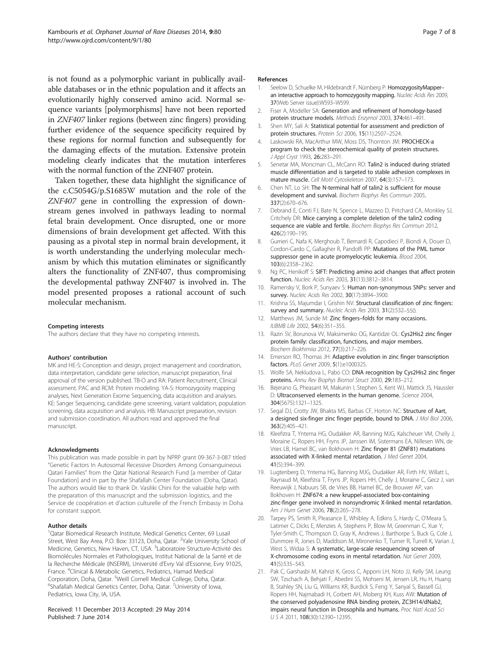<span id="page-6-0"></span>is not found as a polymorphic variant in publically available databases or in the ethnic population and it affects an evolutionarily highly conserved amino acid. Normal sequence variants [polymorphisms] have not been reported in ZNF407 linker regions (between zinc fingers) providing further evidence of the sequence specificity required by these regions for normal function and subsequently for the damaging effects of the mutation. Extensive protein modeling clearly indicates that the mutation interferes with the normal function of the ZNF407 protein.

Taken together, these data highlight the significance of the c.C5054G/p.S1685W mutation and the role of the ZNF407 gene in controlling the expression of downstream genes involved in pathways leading to normal fetal brain development. Once disrupted, one or more dimensions of brain development get affected. With this pausing as a pivotal step in normal brain development, it is worth understanding the underlying molecular mechanism by which this mutation eliminates or significantly alters the functionality of ZNF407, thus compromising the developmental pathway ZNF407 is involved in. The model presented proposes a rational account of such molecular mechanism.

#### Competing interests

The authors declare that they have no competing interests.

#### Authors' contribution

MK and HE-S: Conception and design, project management and coordination, data interpretation, candidate gene selection, manuscript preparation, final approval of the version published. TB-O and RA: Patient Recruitment, Clinical assessment. PAC and RCM: Protein modeling. YA-S: Homozygosity mapping analyses, Next Generation Exome Sequencing, data acquisition and analyses. KE: Sanger Sequencing, candidate gene screening, variant validation, population screening, data acquisition and analysis. HB: Manuscript preparation, revision and submission coordination. All authors read and approved the final manuscript.

#### Acknowledgments

This publication was made possible in part by NPRP grant 09-367-3-087 titled "Genetic Factors In Autosomal Recessive Disorders Among Consanguineous Qatari Families" from the Qatar National Research Fund [a member of Qatar Foundation] and in part by the Shafallah Center Foundation (Doha, Qatar). The authors would like to thank Dr. Vasiliki Chini for the valuable help with the preparation of this manuscript and the submission logistics, and the Service de coopération et d'action culturelle of the French Embassy in Doha for constant support.

#### Author details

<sup>1</sup>Qatar Biomedical Research Institute, Medical Genetics Center, 69 Lusail Street, West Bay Area, P.O. Box: 33123, Doha, Qatar. <sup>2</sup>Yale University School of Medicine, Genetics, New Haven, CT, USA. <sup>3</sup>Laboratoire Structure-Activité des Biomolécules Normales et Pathologiques, Institut National de la Santé et de la Recherche Médicale (INSERM), Université d'Evry Val d'Essonne, Evry 91025, France. <sup>4</sup> Clinical & Metabolic Genetics, Pediatrics, Hamad Medical Corporation, Doha, Qatar. <sup>5</sup>Weill Cornell Medical College, Doha, Qatar.<br><sup>6</sup>Shafallah Medical Genetics Center, Doha, Qatar, <sup>7</sup>Llniversity of Jowa Shafallah Medical Genetics Center, Doha, Qatar. <sup>7</sup>University of Iowa, Pediatrics, Iowa City, IA, USA.

#### Received: 11 December 2013 Accepted: 29 May 2014 Published: 7 June 2014

#### References

- 1. Seelow D, Schuelke M, Hildebrandt F, Nürnberg P: HomozygosityMapperan interactive approach to homozygosity mapping. Nucleic Acids Res 2009, 37(Web Server issue):W593–W599.
- Fiser A, Modeller SA: Generation and refinement of homology-based protein structure models. Methods Enzymol 2003, 374:461–491.
- 3. Shen MY, Sali A: Statistical potential for assessment and prediction of protein structures. Protein Sci 2006, 15(11):2507–2524.
- 4. Laskowski RA, MacArthur MW, Moss DS, Thornton JM: PROCHECK-a program to check the stereochemical quality of protein structures. J Appl Cryst 1993, 26:283–291.
- 5. Senetar MA, Moncman CL, McCann RO: Talin2 is induced during striated muscle differentiation and is targeted to stable adhesion complexes in mature muscle. Cell Motil Cytoskeleton 2007, 64(3):157–173.
- 6. Chen NT, Lo SH: The N-terminal half of talin2 is sufficient for mouse development and survival. Biochem Biophys Res Commun 2005, 337(2):670–676.
- 7. Debrand E, Conti FJ, Bate N, Spence L, Mazzeo D, Pritchard CA, Monkley SJ, Critchely DR: Mice carrying a complete deletion of the talin2 coding sequence are viable and fertile. Biochem Biophys Res Commun 2012, 426(2):190–195.
- 8. Gurrieri C, Nafa K, Merghoub T, Bernardi R, Capodieci P, Biondi A, Douer D, Cordon-Cardo C, Gallagher R, Pandolfi PP: Mutations of the PML tumor suppressor gene in acute promyelocytic leukemia. Blood 2004, 103(6):2358–2362.
- 9. Ng PC, Henikoff S: SIFT: Predicting amino acid changes that affect protein function. Nucleic Acids Res 2003, 31(13):3812–3814.
- 10. Ramensky V, Bork P, Sunyaev S: Human non-synonymous SNPs: server and survey. Nucleic Acids Res 2002, 30(17):3894–3900.
- 11. Krishna SS, Majumdar I, Grishin NV: Structural classification of zinc fingers: survey and summary. Nucleic Acids Res 2003, 31(2):532-550.
- 12. Matthews JM, Sunde M: Zinc fingers-folds for many occasions. IUBMB Life 2002, 54(6):351–355.
- 13. Razin SV, Borunova W, Maksimenko OG, Kantidze OL: Cys2His2 zinc finger protein family: classification, functions, and major members. Biochem Biokhimiia 2012, 77(3):217–226.
- 14. Emerson RO, Thomas JH: Adaptive evolution in zinc finger transcription factors. PLoS Genet 2009, 5(1):e1000325.
- 15. Wolfe SA, Nekludova L, Pabo CO: DNA recognition by Cys2His2 zinc finger proteins. Annu Rev Biophys Biomol Struct 2000, 29:183–212.
- 16. Bejerano G, Pheasant M, Makunin I, Stephen S, Kent WJ, Mattick JS, Haussler D: Ultraconserved elements in the human genome. Science 2004, 304(5675):1321–1325.
- 17. Segal DJ, Crotty JW, Bhakta MS, Barbas CF, Horton NC: Structure of Aart, a designed six-finger zinc finger peptide, bound to DNA. J Mol Biol 2006, 363(2):405–421.
- 18. Kleefstra T, Yntema HG, Oudakker AR, Banning MJG, Kalscheuer VM, Chelly J, Moraine C, Ropers HH, Fryns JP, Janssen IM, Sistermans EA, Nillesen WN, de Vries LB, Hamel BC, van Bokhoven H: Zinc finger 81 (ZNF81) mutations associated with X-linked mental retardation. J Med Genet 2004, 41(5):394–399.
- 19. Lugtenberg D, Yntema HG, Banning MJG, Oudakker AR, Firth HV, Willatt L, Raynaud M, Kleefstra T, Fryns JP, Ropers HH, Chelly J, Moraine C, Gecz J, van Reeuwijk J, Nabuurs SB, de Vries BB, Hamel BC, de Brouwer AP, van Bokhoven H: ZNF674: a new kruppel-associated box-containing zinc-finger gene involved in nonsyndromic X-linked mental retardation. Am J Hum Genet 2006, 78(2):265–278.
- 20. Tarpey PS, Smith R, Pleasance E, Whibley A, Edkins S, Hardy C, O'Meara S, Latimer C, Dicks E, Menzies A, Stephens P, Blow M, Greenman C, Xue Y, Tyler-Smith C, Thompson D, Gray K, Andrews J, Barthorpe S, Buck G, Cole J, Dunmore R, Jones D, Maddison M, Mironenko T, Turner R, Turrell K, Varian J, West S, Widaa S: A systematic, large-scale resequencing screen of X-chromosome coding exons in mental retardation. Nat Genet 2009, 41(5):535–543.
- 21. Pak C, Garshasbi M, Kahrizi K, Gross C, Apponi LH, Noto JJ, Kelly SM, Leung SW, Tzschach A, Behjati F, Abedini SS, Mohseni M, Jensen LR, Hu H, Huang B, Stahley SN, Liu G, Williams KR, Burdick S, Feng Y, Sanyal S, Bassell GJ, Ropers HH, Najmabadi H, Corbett AH, Moberg KH, Kuss AW: Mutation of the conserved polyadenosine RNA binding protein, ZC3H14/dNab2, impairs neural function in Drosophila and humans. Proc Natl Acad Sci USA 2011, 108(30):12390–12395.